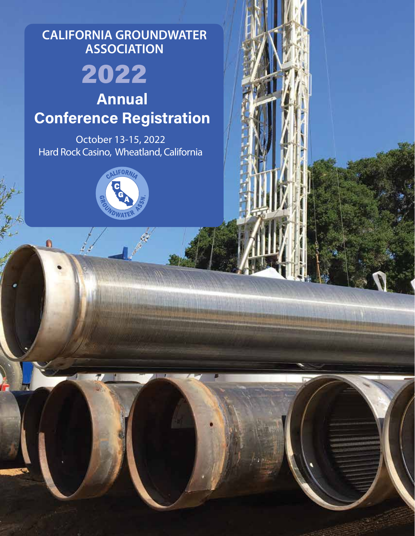# **CALIFORNIA GROUNDWATER ASSOCIATION** 2022 **Annual Conference Registration**

October 13-15, 2022 Hard Rock Casino, Wheatland, California



Ä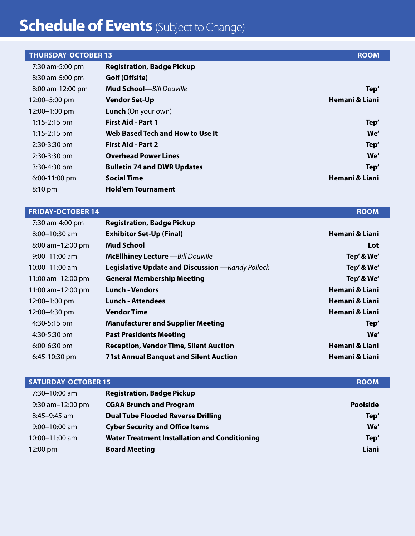# **Schedule of Events** (Subject to Change)

| <b>THURSDAY-OCTOBER 13</b> |                                    | <b>ROOM</b>               |
|----------------------------|------------------------------------|---------------------------|
| 7:30 am-5:00 pm            | <b>Registration, Badge Pickup</b>  |                           |
| 8:30 am-5:00 pm            | Golf (Offsite)                     |                           |
| 8:00 am-12:00 pm           | <b>Mud School</b> —Bill Douville   | Tep'                      |
| 12:00-5:00 pm              | <b>Vendor Set-Up</b>               | Hemani & Liani            |
| 12:00-1:00 pm              | <b>Lunch</b> (On your own)         |                           |
| $1:15-2:15$ pm             | <b>First Aid - Part 1</b>          | Tep'                      |
| $1:15 - 2:15$ pm           | Web Based Tech and How to Use It   | We'                       |
| 2:30-3:30 pm               | <b>First Aid - Part 2</b>          | Tep'                      |
| 2:30-3:30 pm               | <b>Overhead Power Lines</b>        | We'                       |
| 3:30-4:30 pm               | <b>Bulletin 74 and DWR Updates</b> | Tep'                      |
| 6:00-11:00 pm              | <b>Social Time</b>                 | <b>Hemani &amp; Liani</b> |
| $8:10 \text{ pm}$          | <b>Hold'em Tournament</b>          |                           |
|                            |                                    |                           |

### **FRIDAY-OCTOBER 14** ROOM

| 7:30 am-4:00 pm      | <b>Registration, Badge Pickup</b>                 |                           |
|----------------------|---------------------------------------------------|---------------------------|
| $8:00-10:30$ am      | <b>Exhibitor Set-Up (Final)</b>                   | Hemani & Liani            |
| 8:00 am-12:00 pm     | <b>Mud School</b>                                 | Lot                       |
| $9:00-11:00$ am      | <b>McEllhiney Lecture</b> -- Bill Douville        | Tep' & We'                |
| $10:00 - 11:00$ am   | Legislative Update and Discussion - Randy Pollock | Tep' & We'                |
| 11:00 am $-12:00$ pm | <b>General Membership Meeting</b>                 | Tep' & We'                |
| 11:00 am-12:00 pm    | <b>Lunch - Vendors</b>                            | <b>Hemani &amp; Liani</b> |
| $12:00 - 1:00$ pm    | <b>Lunch - Attendees</b>                          | <b>Hemani &amp; Liani</b> |
| 12:00-4:30 pm        | <b>Vendor Time</b>                                | Hemani & Liani            |
| $4:30-5:15$ pm       | <b>Manufacturer and Supplier Meeting</b>          | Tep'                      |
| $4:30-5:30$ pm       | <b>Past Presidents Meeting</b>                    | We'                       |
| $6:00-6:30$ pm       | <b>Reception, Vendor Time, Silent Auction</b>     | Hemani & Liani            |
| 6:45-10:30 pm        | <b>71st Annual Banquet and Silent Auction</b>     | Hemani & Liani            |

| <b>SATURDAY-OCTOBER 15</b> |                                                      | <b>ROOM</b>     |
|----------------------------|------------------------------------------------------|-----------------|
| 7:30-10:00 am              | <b>Registration, Badge Pickup</b>                    |                 |
| $9:30$ am $-12:00$ pm      | <b>CGAA Brunch and Program</b>                       | <b>Poolside</b> |
| $8:45-9:45$ am             | <b>Dual Tube Flooded Reverse Drilling</b>            | Tep'            |
| $9:00 - 10:00$ am          | <b>Cyber Security and Office Items</b>               | We'             |
| 10:00-11:00 am             | <b>Water Treatment Installation and Conditioning</b> | Tep'            |
| 12:00 pm                   | <b>Board Meeting</b>                                 | Liani           |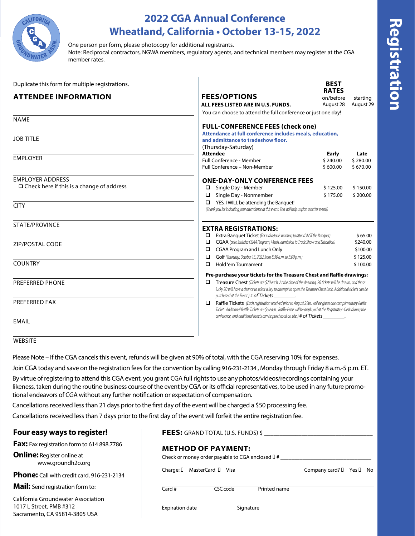

### **2022 CGA Annual Conference Wheatland, California • October 13-15, 2022**

One person per form, please photocopy for additional registrants.

Note: Reciprocal contractors, NGWA members, regulatory agents, and technical members may register at the CGA member rates.

| Duplicate this form for multiple registrations.  |                                                                                                                                           |                                                                                                                    | <b>BEST</b>               |                      |
|--------------------------------------------------|-------------------------------------------------------------------------------------------------------------------------------------------|--------------------------------------------------------------------------------------------------------------------|---------------------------|----------------------|
| <b>ATTENDEE INFORMATION</b>                      | <b>FEES/OPTIONS</b>                                                                                                                       |                                                                                                                    | <b>RATES</b><br>on/before | starting             |
|                                                  | ALL FEES LISTED ARE IN U.S. FUNDS.                                                                                                        |                                                                                                                    | August 28                 | August 29            |
|                                                  |                                                                                                                                           | You can choose to attend the full conference or just one day!                                                      |                           |                      |
| <b>NAME</b>                                      |                                                                                                                                           |                                                                                                                    |                           |                      |
|                                                  |                                                                                                                                           | <b>FULL-CONFERENCE FEES (check one)</b>                                                                            |                           |                      |
| <b>JOB TITLE</b>                                 |                                                                                                                                           | Attendance at full conference includes meals, education,                                                           |                           |                      |
|                                                  | and admittance to tradeshow floor.<br>(Thursday-Saturday)                                                                                 |                                                                                                                    |                           |                      |
|                                                  | <b>Attendee</b>                                                                                                                           |                                                                                                                    | Early                     | Late                 |
| <b>EMPLOYER</b>                                  | <b>Full Conference - Member</b>                                                                                                           |                                                                                                                    | \$240.00                  | \$280.00             |
|                                                  | Full Conference - Non-Member                                                                                                              |                                                                                                                    | \$600.00                  | \$670.00             |
| <b>EMPLOYER ADDRESS</b>                          |                                                                                                                                           |                                                                                                                    |                           |                      |
| $\Box$ Check here if this is a change of address |                                                                                                                                           | <b>ONE-DAY-ONLY CONFERENCE FEES</b>                                                                                |                           |                      |
|                                                  | Single Day - Member<br>□<br>Single Day - Nonmember                                                                                        |                                                                                                                    | \$125.00<br>\$175.00      | \$150.00<br>\$200.00 |
|                                                  |                                                                                                                                           |                                                                                                                    |                           |                      |
| <b>CITY</b>                                      | YES, I WILL be attending the Banquet!<br>(Thank you for indicating your attendance at this event. This will help us plan a better event!) |                                                                                                                    |                           |                      |
|                                                  |                                                                                                                                           |                                                                                                                    |                           |                      |
| STATE/PROVINCE                                   | <b>EXTRA REGISTRATIONS:</b>                                                                                                               |                                                                                                                    |                           |                      |
|                                                  | ❏                                                                                                                                         | <b>Extra Banquet Ticket</b> (For individuals wanting to attend JUST the Banquet)                                   |                           | \$65.00              |
| ZIP/POSTAL CODE                                  | □                                                                                                                                         | CGAA (price includes CGAA Program, Meals, admission to Trade Show and Education)                                   |                           | \$240.00             |
| CGAA Program and Lunch Only<br>$\Box$            |                                                                                                                                           |                                                                                                                    | \$100.00                  |                      |
|                                                  | ❏                                                                                                                                         | Golf (Thursday, October 13, 2022 from 8:30 a.m. to 5:00 p.m.)                                                      |                           | \$125.00             |
| <b>COUNTRY</b>                                   | Hold 'em Tournament<br>□                                                                                                                  |                                                                                                                    |                           | \$100.00             |
|                                                  |                                                                                                                                           | Pre-purchase your tickets for the Treasure Chest and Raffle drawings:                                              |                           |                      |
| <b>PREFERRED PHONE</b>                           | □                                                                                                                                         | Treasure Chest (Tickets are \$20 each. At the time of the drawing, 20 tickets will be drawn, and those             |                           |                      |
|                                                  | purchased at the Event.) # of Tickets                                                                                                     | lucky 20 will have a chance to select a key to attempt to open the Treasure Chest Lock. Additional tickets can be  |                           |                      |
| PREFERRED FAX                                    |                                                                                                                                           | Raffle Tickets (Each registration received prior to August 29th, will be given one complimentary Raffle            |                           |                      |
|                                                  |                                                                                                                                           | Ticket. Additional Raffle Tickets are \$5 each. Raffle Prize will be displayed at the Registration Desk during the |                           |                      |
|                                                  |                                                                                                                                           | conference, and additional tickets can be purchased on site.) # of Tickets                                         |                           |                      |
| <b>EMAIL</b>                                     |                                                                                                                                           |                                                                                                                    |                           |                      |
| <b>MEDCITE</b>                                   |                                                                                                                                           |                                                                                                                    |                           |                      |

WEBSITE

Please Note – If the CGA cancels this event, refunds will be given at 90% of total, with the CGA reserving 10% for expenses.

Join CGA today and save on the registration fees for the convention by calling 916-231-2134 , Monday through Friday 8 a.m.-5 p.m. ET.

By virtue of registering to attend this CGA event, you grant CGA full rights to use any photos/videos/recordings containing your likeness, taken during the routine business course of the event by CGA or its official representatives, to be used in any future promotional endeavors of CGA without any further notification or expectation of compensation.

Cancellations received less than 21 days prior to the first day of the event will be charged a \$50 processing fee.

Cancellations received less than 7 days prior to the first day of the event will forfeit the entire registration fee.

### **Four easy ways to register!**

**Fax:** Fax registration form to 614 898.7786

**Online:** Register online at www.groundh2o.org

**Phone:** Call with credit card, 916-231-2134

**Mail:** Send registration form to:

California Groundwater Association 1017 L Street, PMB #312 Sacramento, CA 95814-3805 USA

### **FEES:** GRAND TOTAL (U.S. FUNDS) \$

### **METHOD OF PAYMENT:**

Check or money order payable to CGA enclosed ❑ # \_\_\_\_\_\_\_\_\_\_\_\_\_\_\_\_\_\_\_\_\_\_\_\_\_\_\_\_\_\_\_\_\_

Charge: **□** MasterCard □ Visa Company card? □ Yes □ No

CSC code Printed name

Expiration date Signature